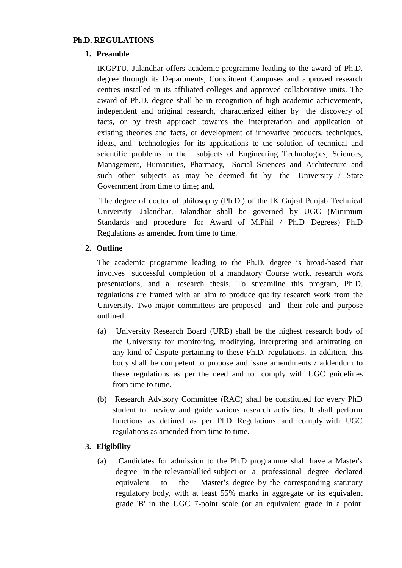## **Ph.D. REGULATIONS**

# **1. Preamble**

IKGPTU, Jalandhar offers academic programme leading to the award of Ph.D. degree through its Departments, Constituent Campuses and approved research centres installed in its affiliated colleges and approved collaborative units. The award of Ph.D. degree shall be in recognition of high academic achievements, independent and original research, characterized either by the discovery of facts, or by fresh approach towards the interpretation and application of existing theories and facts, or development of innovative products, techniques, ideas, and technologies for its applications to the solution of technical and scientific problems in the subjects of Engineering Technologies, Sciences, Management, Humanities, Pharmacy, Social Sciences and Architecture and such other subjects as may be deemed fit by the University / State Government from time to time; and.

The degree of doctor of philosophy (Ph.D.) of the IK Gujral Punjab Technical University Jalandhar, Jalandhar shall be governed by UGC (Minimum Standards and procedure for Award of M.Phil / Ph.D Degrees) Ph.D Regulations as amended from time to time.

### **2. Outline**

The academic programme leading to the Ph.D. degree is broad-based that involves successful completion of a mandatory Course work, research work presentations, and a research thesis. To streamline this program, Ph.D. regulations are framed with an aim to produce quality research work from the University. Two major committees are proposed and their role and purpose outlined.

- (a) University Research Board (URB) shall be the highest research body of the University for monitoring, modifying, interpreting and arbitrating on any kind of dispute pertaining to these Ph.D. regulations. In addition, this body shall be competent to propose and issue amendments / addendum to these regulations as per the need and to comply with UGC guidelines from time to time.
- (b) Research Advisory Committee (RAC) shall be constituted for every PhD student to review and guide various research activities. It shall perform functions as defined as per PhD Regulations and comply with UGC regulations as amended from time to time.

# **3. Eligibility**

(a) Candidates for admission to the Ph.D programme shall have a Master's degree in the relevant/allied subject or a professional degree declared equivalent to the Master's degree by the corresponding statutory regulatory body, with at least 55% marks in aggregate or its equivalent grade 'B' in the UGC 7-point scale (or an equivalent grade in a point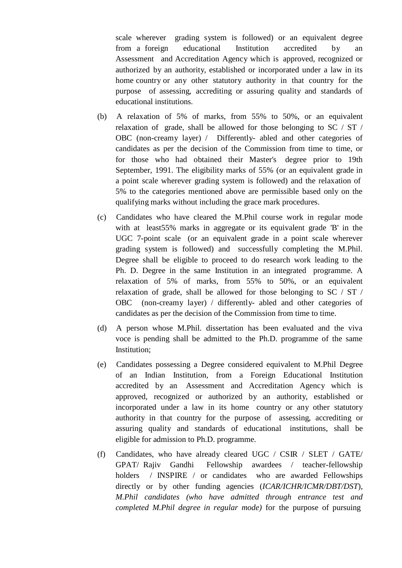scale wherever grading system is followed) or an equivalent degree from a foreign educational Institution accredited by an Assessment and Accreditation Agency which is approved, recognized or authorized by an authority, established or incorporated under a law in its home country or any other statutory authority in that country for the purpose of assessing, accrediting or assuring quality and standards of educational institutions.

- (b) A relaxation of 5% of marks, from 55% to 50%, or an equivalent relaxation of grade, shall be allowed for those belonging to SC / ST / OBC (non-creamy layer) / Differently- abled and other categories of candidates as per the decision of the Commission from time to time, or for those who had obtained their Master's degree prior to 19th September, 1991. The eligibility marks of 55% (or an equivalent grade in a point scale wherever grading system is followed) and the relaxation of 5% to the categories mentioned above are permissible based only on the qualifying marks without including the grace mark procedures.
- (c) Candidates who have cleared the M.Phil course work in regular mode with at least55% marks in aggregate or its equivalent grade 'B' in the UGC 7-point scale (or an equivalent grade in a point scale wherever grading system is followed) and successfully completing the M.Phil. Degree shall be eligible to proceed to do research work leading to the Ph. D. Degree in the same Institution in an integrated programme. A relaxation of 5% of marks, from 55% to 50%, or an equivalent relaxation of grade, shall be allowed for those belonging to SC / ST / OBC (non-creamy layer) / differently- abled and other categories of candidates as per the decision of the Commission from time to time.
- (d) A person whose M.Phil. dissertation has been evaluated and the viva voce is pending shall be admitted to the Ph.D. programme of the same Institution;
- (e) Candidates possessing a Degree considered equivalent to M.Phil Degree of an Indian Institution, from a Foreign Educational Institution accredited by an Assessment and Accreditation Agency which is approved, recognized or authorized by an authority, established or incorporated under a law in its home country or any other statutory authority in that country for the purpose of assessing, accrediting or assuring quality and standards of educational institutions, shall be eligible for admission to Ph.D. programme.
- (f) Candidates, who have already cleared UGC / CSIR / SLET / GATE/ GPAT/ Rajiv Gandhi Fellowship awardees / teacher-fellowship holders / INSPIRE / or candidates who are awarded Fellowships directly or by other funding agencies (*ICAR/ICHR/ICMR/DBT/DST*), *M.Phil candidates (who have admitted through entrance test and completed M.Phil degree in regular mode)* for the purpose of pursuing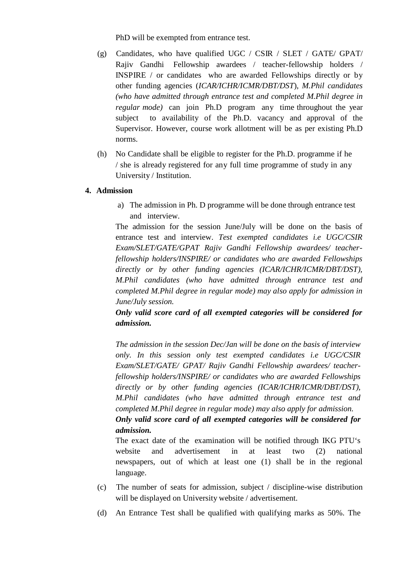PhD will be exempted from entrance test.

- (g) Candidates, who have qualified UGC / CSIR / SLET / GATE/ GPAT/ Rajiv Gandhi Fellowship awardees / teacher-fellowship holders / INSPIRE / or candidates who are awarded Fellowships directly or by other funding agencies (*ICAR/ICHR/ICMR/DBT/DST*), *M.Phil candidates (who have admitted through entrance test and completed M.Phil degree in regular mode)* can join Ph.D program any time throughout the year subject to availability of the Ph.D. vacancy and approval of the Supervisor. However, course work allotment will be as per existing Ph.D norms.
- (h) No Candidate shall be eligible to register for the Ph.D. programme if he / she is already registered for any full time programme of study in any University / Institution.

# **4. Admission**

a) The admission in Ph. D programme will be done through entrance test and interview.

The admission for the session June/July will be done on the basis of entrance test and interview. *Test exempted candidates i.e UGC/CSIR Exam/SLET/GATE/GPAT Rajiv Gandhi Fellowship awardees/ teacherfellowship holders/INSPIRE/ or candidates who are awarded Fellowships directly or by other funding agencies (ICAR/ICHR/ICMR/DBT/DST), M.Phil candidates (who have admitted through entrance test and completed M.Phil degree in regular mode) may also apply for admission in June/July session.*

*Only valid score card of all exempted categories will be considered for admission.*

*The admission in the session Dec/Jan will be done on the basis of interview only. In this session only test exempted candidates i.e UGC/CSIR Exam/SLET/GATE/ GPAT/ Rajiv Gandhi Fellowship awardees/ teacherfellowship holders/INSPIRE/ or candidates who are awarded Fellowships directly or by other funding agencies (ICAR/ICHR/ICMR/DBT/DST), M.Phil candidates (who have admitted through entrance test and completed M.Phil degree in regular mode) may also apply for admission. Only valid score card ofall exempted categories will be considered for admission.*

The exact date of the examination will be notified through IKG PTU's website and advertisement in at least two (2) national newspapers, out of which at least one (1) shall be in the regional language.

- (c) The number of seats for admission, subject / discipline-wise distribution will be displayed on University website / advertisement.
- (d) An Entrance Test shall be qualified with qualifying marks as 50%. The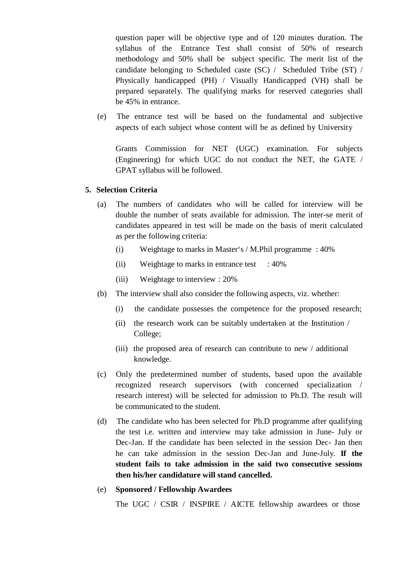question paper will be objective type and of 120 minutes duration. The syllabus of the Entrance Test shall consist of 50% of research methodology and 50% shall be subject specific. The merit list of the candidate belonging to Scheduled caste (SC) / Scheduled Tribe (ST) / Physically handicapped (PH) / Visually Handicapped (VH) shall be prepared separately. The qualifying marks for reserved categories shall be 45% in entrance.

(e) The entrance test will be based on the fundamental and subjective aspects of each subject whose content will be as defined by University

Grants Commission for NET (UGC) examination. For subjects (Engineering) for which UGC do not conduct the NET, the GATE / GPAT syllabus will be followed.

### **5. Selection Criteria**

- (a) The numbers of candidates who will be called for interview will be double the number of seats available for admission. The inter-se merit of candidates appeared in test will be made on the basis of merit calculated as per the following criteria:
	- (i) Weightage to marks in Master's / M.Phil programme : 40%
	- (ii) Weightage to marks in entrance test :  $40\%$
	- (iii) Weightage to interview : 20%
- (b) The interview shall also consider the following aspects, viz. whether:
	- (i) the candidate possesses the competence for the proposed research;
	- (ii) the research work can be suitably undertaken at the Institution / College;
	- (iii) the proposed area of research can contribute to new / additional knowledge.
- (c) Only the predetermined number of students, based upon the available recognized research supervisors (with concerned specialization / research interest) will be selected for admission to Ph.D. The result will be communicated to the student.
- (d) The candidate who has been selected for Ph.D programme after qualifying the test i.e. written and interview may take admission in June- July or Dec-Jan. If the candidate has been selected in the session Dec- Jan then he can take admission in the session Dec-Jan and June-July. **If the student fails to take admission in the said two consecutive sessions then his/her candidature will stand cancelled.**
- (e) **Sponsored / Fellowship Awardees**

The UGC / CSIR / INSPIRE / AICTE fellowship awardees or those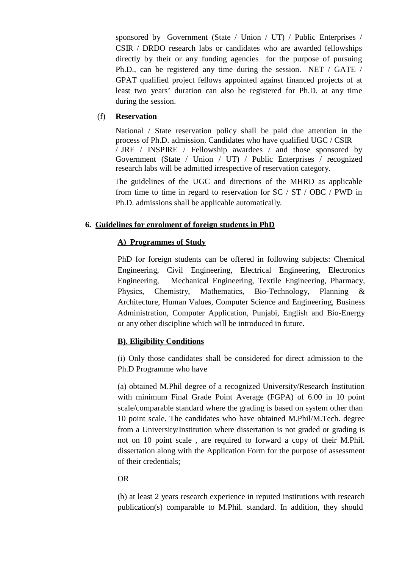sponsored by Government (State / Union / UT) / Public Enterprises / CSIR / DRDO research labs or candidates who are awarded fellowships directly by their or any funding agencies for the purpose of pursuing Ph.D., can be registered any time during the session. NET / GATE / GPAT qualified project fellows appointed against financed projects of at least two years' duration can also be registered for Ph.D. at any time during the session.

## (f) **Reservation**

National / State reservation policy shall be paid due attention in the process of Ph.D. admission. Candidates who have qualified UGC / CSIR / JRF / INSPIRE / Fellowship awardees / and those sponsored by Government (State / Union / UT) / Public Enterprises / recognized research labs will be admitted irrespective of reservation category.

The guidelines of the UGC and directions of the MHRD as applicable from time to time in regard to reservation for  $SC / ST / OBC / PWD$  in Ph.D. admissions shall be applicable automatically.

# **6. Guidelines for enrolment of foreign students in PhD**

# **A) Programmes of Study**

PhD for foreign students can be offered in following subjects: Chemical Engineering, Civil Engineering, Electrical Engineering, Electronics Engineering, Mechanical Engineering, Textile Engineering, Pharmacy, Physics, Chemistry, Mathematics, Bio-Technology, Planning & Architecture, Human Values, Computer Science and Engineering, Business Administration, Computer Application, Punjabi, English and Bio-Energy or any other discipline which will be introduced in future.

# **B). Eligibility Conditions**

(i) Only those candidates shall be considered for direct admission to the Ph.D Programme who have

(a) obtained M.Phil degree of a recognized University/Research Institution with minimum Final Grade Point Average (FGPA) of 6.00 in 10 point scale/comparable standard where the grading is based on system other than 10 point scale. The candidates who have obtained M.Phil/M.Tech. degree from a University/Institution where dissertation is not graded or grading is not on 10 point scale , are required to forward a copy of their M.Phil. dissertation along with the Application Form for the purpose of assessment of their credentials;

### OR

(b) at least 2 years research experience in reputed institutions with research publication(s) comparable to M.Phil. standard. In addition, they should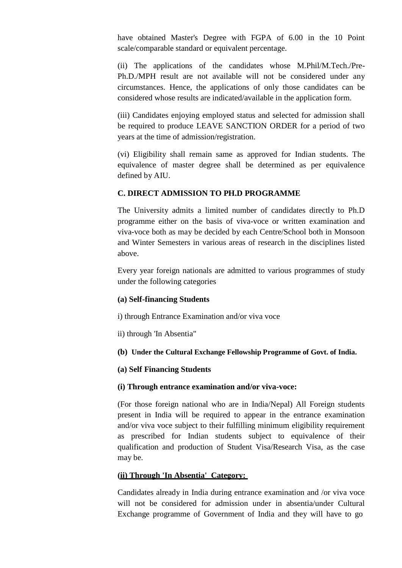have obtained Master's Degree with FGPA of 6.00 in the 10 Point scale/comparable standard or equivalent percentage.

(ii) The applications of the candidates whose M.Phil/M.Tech./Pre- Ph.D./MPH result are not available will not be considered under any circumstances. Hence, the applications of only those candidates can be considered whose results are indicated/available in the application form.

(iii) Candidates enjoying employed status and selected for admission shall be required to produce LEAVE SANCTION ORDER for a period of two years at the time of admission/registration.

(vi) Eligibility shall remain same as approved for Indian students. The equivalence of master degree shall be determined as per equivalence defined by AIU.

# **C. DIRECT ADMISSION TO PH.D PROGRAMME**

The University admits a limited number of candidates directly to Ph.D programme either on the basis of viva-voce or written examination and viva-voce both as may be decided by each Centre/School both in Monsoon and Winter Semesters in various areas of research in the disciplines listed above.

Every year foreign nationals are admitted to various programmes of study under the following categories

### **(a) Self-financing Students**

i) through Entrance Examination and/or viva voce

ii) through 'In Absentia"

**(b) Under the Cultural Exchange Fellowship Programme of Govt. of India.**

### **(a) Self Financing Students**

### **(i) Through entrance examination and/or viva-voce:**

(For those foreign national who are in India/Nepal) All Foreign students present in India will be required to appear in the entrance examination and/or viva voce subject to their fulfilling minimum eligibility requirement as prescribed for Indian students subject to equivalence of their qualification and production of Student Visa/Research Visa, as the case may be.

### **(ii) Through 'In Absentia' Category:**

Candidates already in India during entrance examination and /or viva voce will not be considered for admission under in absentia/under Cultural Exchange programme of Government of India and they will have to go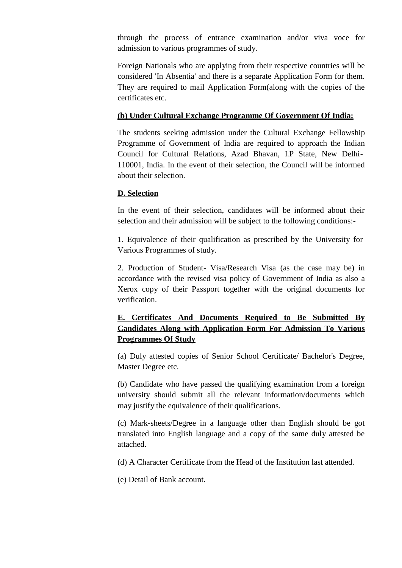through the process of entrance examination and/or viva voce for admission to various programmes of study.

Foreign Nationals who are applying from their respective countries will be considered 'In Absentia' and there is a separate Application Form for them. They are required to mail Application Form(along with the copies of the certificates etc.

## **(b) Under Cultural Exchange Programme Of Government Of India:**

The students seeking admission under the Cultural Exchange Fellowship Programme of Government of India are required to approach the Indian Council for Cultural Relations, Azad Bhavan, I.P State, New Delhi- 110001, India. In the event of their selection, the Council will be informed about their selection.

### **D. Selection**

In the event of their selection, candidates will be informed about their selection and their admission will be subject to the following conditions:-

1. Equivalence of their qualification as prescribed by the University for Various Programmes of study.

2. Production of Student- Visa/Research Visa (as the case may be) in accordance with the revised visa policy of Government of India as also a Xerox copy of their Passport together with the original documents for verification.

# **E. Certificates And Documents Required to Be Submitted By Candidates Along with Application Form For Admission To Various Programmes Of Study**

(a) Duly attested copies of Senior School Certificate/ Bachelor's Degree, Master Degree etc.

(b) Candidate who have passed the qualifying examination from a foreign university should submit all the relevant information/documents which may justify the equivalence of their qualifications.

(c) Mark-sheets/Degree in a language other than English should be got translated into English language and a copy of the same duly attested be attached.

(d) A Character Certificate from the Head of the Institution last attended.

(e) Detail of Bank account.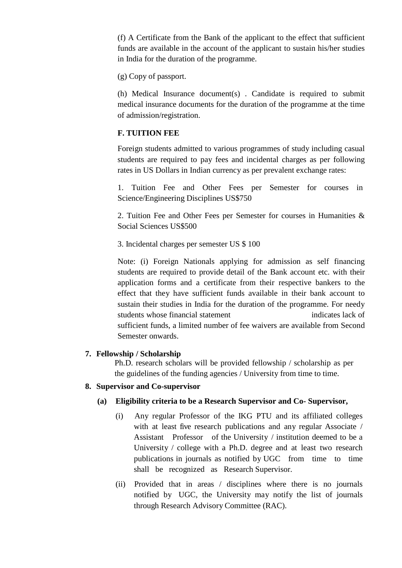(f) A Certificate from the Bank of the applicant to the effect that sufficient funds are available in the account of the applicant to sustain his/her studies in India for the duration of the programme.

(g) Copy of passport.

(h) Medical Insurance document(s) . Candidate is required to submit medical insurance documents for the duration of the programme at the time of admission/registration.

## **F. TUITION FEE**

Foreign students admitted to various programmes of study including casual students are required to pay fees and incidental charges as per following rates in US Dollars in Indian currency as per prevalent exchange rates:

1. Tuition Fee and Other Fees per Semester for courses in Science/Engineering Disciplines US\$750

2. Tuition Fee and Other Fees per Semester for courses in Humanities & Social Sciences US\$500

3. Incidental charges per semester US \$ 100

Note: (i) Foreign Nationals applying for admission as self financing students are required to provide detail of the Bank account etc. with their application forms and a certificate from their respective bankers to the effect that they have sufficient funds available in their bank account to sustain their studies in India for the duration of the programme. For needy students whose financial statement indicates lack of sufficient funds, a limited number of fee waivers are available from Second Semester onwards.

### **7. Fellowship / Scholarship**

Ph.D. research scholars will be provided fellowship / scholarship as per the guidelines of the funding agencies / University from time to time.

### **8. Supervisor and Co-supervisor**

### **(a) Eligibility criteria to be a Research Supervisor and Co- Supervisor,**

- (i) Any regular Professor of the IKG PTU and its affiliated colleges with at least five research publications and any regular Associate / Assistant Professor of the University / institution deemed to be a University / college with a Ph.D. degree and at least two research publications in journals as notified by UGC from time to time shall be recognized as Research Supervisor.
- (ii) Provided that in areas / disciplines where there is no journals notified by UGC, the University may notify the list of journals through Research Advisory Committee (RAC).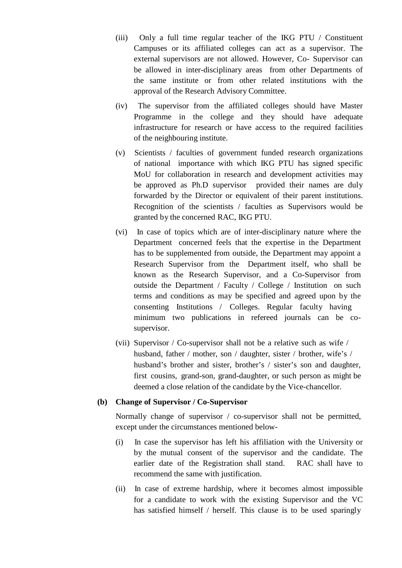- (iii) Only a full time regular teacher of the IKG PTU / Constituent Campuses or its affiliated colleges can act as a supervisor. The external supervisors are not allowed. However, Co- Supervisor can be allowed in inter-disciplinary areas from other Departments of the same institute or from other related institutions with the approval of the Research Advisory Committee.
- (iv) The supervisor from the affiliated colleges should have Master Programme in the college and they should have adequate infrastructure for research or have access to the required facilities of the neighbouring institute.
- (v) Scientists /faculties of government funded research organizations of national importance with which IKG PTU has signed specific MoU for collaboration in research and development activities may be approved as Ph.D supervisor provided their names are duly forwarded by the Director or equivalent of their parent institutions. Recognition of the scientists / faculties as Supervisors would be granted by the concerned RAC, IKG PTU.
- (vi) In case of topics which are of inter-disciplinary nature where the Department concerned feels that the expertise in the Department has to be supplemented from outside, the Department may appoint a Research Supervisor from the Department itself, who shall be known as the Research Supervisor, and a Co-Supervisor from outside the Department / Faculty / College / Institution on such terms and conditions as may be specified and agreed upon by the consenting Institutions / Colleges. Regular faculty having minimum two publications in refereed journals can be co supervisor.
- (vii) Supervisor / Co-supervisor shall not be a relative such as wife / husband, father / mother, son / daughter, sister / brother, wife's / husband's brother and sister, brother's / sister's son and daughter, first cousins, grand-son, grand-daughter, or such person as might be deemed a close relation of the candidate by the Vice-chancellor.

### **(b) Change of Supervisor / Co-Supervisor**

Normally change of supervisor / co-supervisor shall not be permitted, except under the circumstances mentioned below-

- (i) In case the supervisor has left his affiliation with the University or by the mutual consent of the supervisor and the candidate. The earlier date of the Registration shall stand. RAC shall have to recommend the same with justification.
- (ii) In case of extreme hardship, where it becomes almost impossible for a candidate to work with the existing Supervisor and the VC has satisfied himself / herself. This clause is to be used sparingly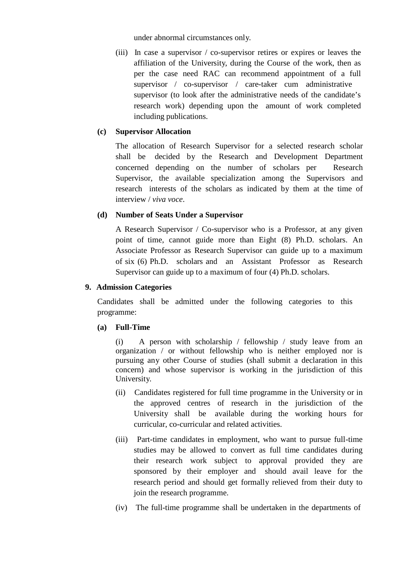under abnormal circumstances only.

(iii) In case a supervisor / co-supervisor retires or expires or leaves the affiliation of the University, during the Course of the work, then as per the case need RAC can recommend appointment of a full supervisor / co-supervisor / care-taker cum administrative supervisor (to look after the administrative needs of the candidate's research work) depending upon the amount of work completed including publications.

## **(c) Supervisor Allocation**

The allocation of Research Supervisor for a selected research scholar shall be decided by the Research and Development Department concerned depending on the number of scholars per Research Supervisor, the available specialization among the Supervisors and research interests of the scholars as indicated by them at the time of interview / *viva voce*.

# **(d) Number of Seats Under a Supervisor**

A Research Supervisor / Co-supervisor who is a Professor, at any given point of time, cannot guide more than Eight (8) Ph.D. scholars. An Associate Professor as Research Supervisor can guide up to a maximum of six (6) Ph.D. scholars and an Assistant Professor as Research Supervisor can guide up to a maximum of four (4) Ph.D. scholars.

## **9. Admission Categories**

Candidates shall be admitted under the following categories to this programme:

# **(a) Full-Time**

(i) A person with scholarship / fellowship / study leave from an organization / or without fellowship who is neither employed nor is pursuing any other Course of studies (shall submit a declaration in this concern) and whose supervisor is working in the jurisdiction of this University.

- (ii) Candidates registered for full time programme in the University or in the approved centres of research in the jurisdiction of the University shall be available during the working hours for curricular, co-curricular and related activities.
- (iii) Part-time candidates in employment, who want to pursue full-time studies may be allowed to convert as full time candidates during their research work subject to approval provided they are sponsored by their employer and should avail leave for the research period and should get formally relieved from their duty to join the research programme.
- (iv) The full-time programme shall be undertaken in the departments of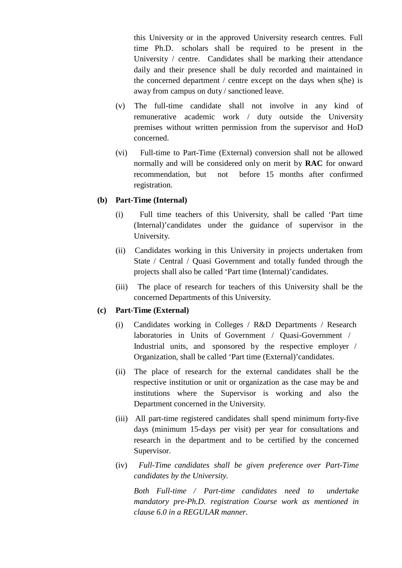this University or in the approved University research centres. Full time Ph.D. scholars shall be required to be present in the University / centre. Candidates shall be marking their attendance daily and their presence shall be duly recorded and maintained in the concerned department / centre except on the days when s(he) is away from campus on duty / sanctioned leave.

- (v) The full-time candidate shall not involve in any kind of remunerative academic work / duty outside the University premises without written permission from the supervisor and HoD concerned.
- (vi) Full-time to Part-Time (External) conversion shall not be allowed normally and will be considered only on merit by **RAC** for onward recommendation, but not before 15 months after confirmed registration.

### **(b) Part-Time (Internal)**

- (i) Full time teachers of this University, shall be called 'Part time (Internal)'candidates under the guidance of supervisor in the University.
- (ii) Candidates working in this University in projects undertaken from State / Central / Quasi Government and totally funded through the projects shall also be called 'Part time (Internal)'candidates.
- (iii) The place of research for teachers of this University shall be the concerned Departments of this University.

### **(c) Part-Time (External)**

- (i) Candidates working in Colleges / R&D Departments / Research laboratories in Units of Government / Quasi-Government / Industrial units, and sponsored by the respective employer / Organization, shall be called 'Part time (External)'candidates.
- (ii) The place of research for the external candidates shall be the respective institution or unit or organization as the case may be and institutions where the Supervisor is working and also the Department concerned in the University.
- (iii) All part-time registered candidates shall spend minimum forty-five days (minimum 15-days per visit) per year for consultations and research in the department and to be certified by the concerned Supervisor.
- (iv) *Full-Time candidates shall be given preference over Part-Time candidates by the University.*

*Both Full-time /Part-time candidates need to undertake mandatory pre-Ph.D. registration Course work as mentioned in clause 6.0 in a REGULAR manner.*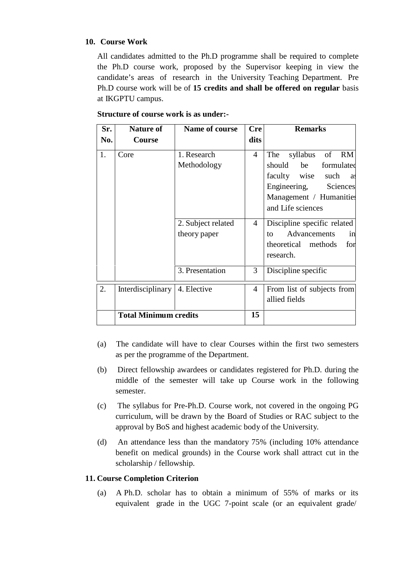## **10. Course Work**

All candidates admitted to the Ph.D programme shall be required to complete the Ph.D course work, proposed by the Supervisor keeping in view the candidate's areas of research in the University Teaching Department. Pre Ph.D course work will be of **15 credits and shall be offered on regular** basis at IKGPTU campus.

| Sr.<br>No. | <b>Nature of</b><br>Course   | Name of course                     | <b>Cre</b><br>dits | <b>Remarks</b>                                                                                                                                                             |
|------------|------------------------------|------------------------------------|--------------------|----------------------------------------------------------------------------------------------------------------------------------------------------------------------------|
| 1.         | Core                         | 1. Research<br>Methodology         | $\overline{4}$     | syllabus<br>of<br>RM<br>The<br>should<br>be<br>formulated<br>faculty wise<br>such<br><b>as</b><br>Engineering,<br>Sciences<br>Management / Humanities<br>and Life sciences |
|            |                              | 2. Subject related<br>theory paper | $\overline{4}$     | Discipline specific related<br>Advancements<br>to<br>in<br>theoretical methods<br>for<br>research.                                                                         |
|            |                              | 3. Presentation                    | 3                  | Discipline specific                                                                                                                                                        |
| 2.         | Interdisciplinary            | 4. Elective                        | $\overline{4}$     | From list of subjects from<br>allied fields                                                                                                                                |
|            | <b>Total Minimum credits</b> |                                    | 15                 |                                                                                                                                                                            |

# **Structure of course work is as under:-**

- (a) The candidate will have to clear Courses within the first two semesters as per the programme of the Department.
- (b) Direct fellowship awardees or candidates registered for Ph.D. during the middle of the semester will take up Course work in the following semester.
- (c) The syllabus for Pre-Ph.D. Course work, not covered in the ongoing PG curriculum, will be drawn by the Board of Studies or RAC subject to the approval by BoS and highest academic body of the University.
- (d) An attendance less than the mandatory 75% (including 10% attendance benefit on medical grounds) in the Course work shall attract cut in the scholarship / fellowship.

# **11. Course Completion Criterion**

(a) A Ph.D. scholar has to obtain a minimum of 55% of marks or its equivalent grade in the UGC 7-point scale (or an equivalent grade/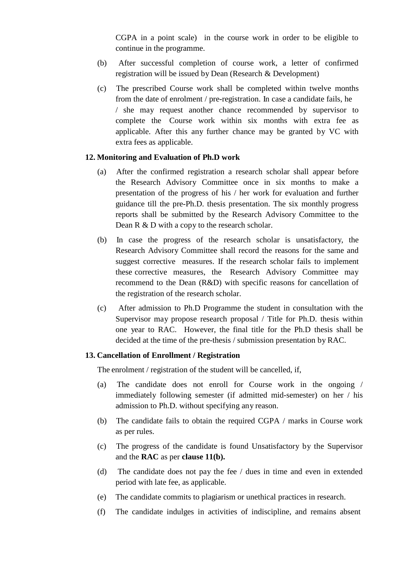CGPA in a point scale) in the course work in order to be eligible to continue in the programme.

- (b) After successful completion of course work, a letter of confirmed registration will be issued by Dean (Research & Development)
- (c) The prescribed Course work shall be completed within twelve months from the date of enrolment / pre-registration. In case a candidate fails, he / she may request another chance recommended by supervisor to complete the Course work within six months with extra fee as applicable. After this any further chance may be granted by VC with extra fees as applicable.

### **12. Monitoring and Evaluation of Ph.D work**

- (a) After the confirmed registration a research scholar shall appear before the Research Advisory Committee once in six months to make a presentation of the progress of his  $/$  her work for evaluation and further guidance till the pre-Ph.D. thesis presentation. The six monthly progress reports shall be submitted by the Research Advisory Committee to the Dean R & D with a copy to the research scholar.
- (b) In case the progress of the research scholar is unsatisfactory, the Research Advisory Committee shall record the reasons for the same and suggest corrective measures. If the research scholar fails to implement these corrective measures, the Research Advisory Committee may recommend to the Dean (R&D) with specific reasons for cancellation of the registration of the research scholar.
- (c) After admission to Ph.D Programme the student in consultation with the Supervisor may propose research proposal / Title for Ph.D. thesis within one year to RAC. However, the final title for the Ph.D thesis shall be decided at the time of the pre-thesis / submission presentation by RAC.

### **13. Cancellation of Enrollment / Registration**

The enrolment / registration of the student will be cancelled, if,

- (a) The candidate does not enroll for Course work in the ongoing / immediately following semester (if admitted mid-semester) on her / his admission to Ph.D. without specifying any reason.
- (b) The candidate fails to obtain the required CGPA / marks in Course work as per rules.
- (c) The progress of the candidate is found Unsatisfactory by the Supervisor and the **RAC** as per **clause 11(b).**
- (d) The candidate does not pay the fee / dues in time and even in extended period with late fee, as applicable.
- (e) The candidate commits to plagiarism or unethical practices in research.
- (f) The candidate indulges in activities of indiscipline, and remains absent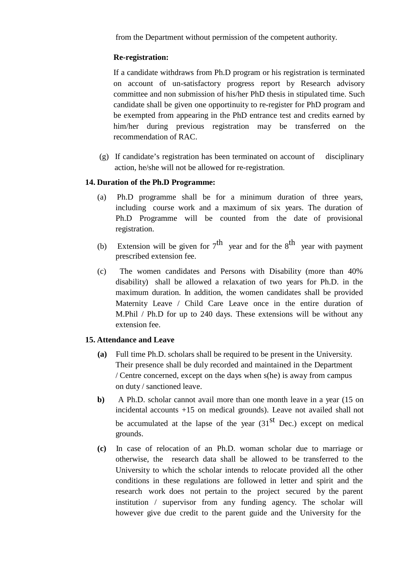from the Department without permission of the competent authority.

# **Re-registration:**

If a candidate withdraws from Ph.D program or his registration is terminated on account of un-satisfactory progress report by Research advisory committee and non submission of his/her PhD thesis in stipulated time. Such candidate shall be given one opportinuity to re-register for PhD program and be exempted from appearing in the PhD entrance test and credits earned by him/her during previous registration may be transferred on the recommendation of RAC.

(g) If candidate's registration has been terminated on account of disciplinary action, he/she will not be allowed for re-registration.

# **14. Duration of the Ph.D Programme:**

- (a) Ph.D programme shall be for a minimum duration of three years, including course work and a maximum of six years. The duration of Ph.D Programme will be counted from the date of provisional registration.
- (b) Extension will be given for  $7<sup>th</sup>$  year and for the  $8<sup>th</sup>$  year with payment prescribed extension fee.
- (c) The women candidates and Persons with Disability (more than 40% disability) shall be allowed a relaxation of two years for Ph.D. in the maximum duration. In addition, the women candidates shall be provided Maternity Leave / Child Care Leave once in the entire duration of M.Phil / Ph.D for up to 240 days. These extensions will be without any extension fee.

# **15. Attendance and Leave**

- **(a)** Full time Ph.D. scholars shall be required to be present in the University. Their presence shall be duly recorded and maintained in the Department / Centre concerned, except on the days when s(he) is away from campus on duty / sanctioned leave.
- **b)** A Ph.D. scholar cannot avail more than one month leave in a year (15 on incidental accounts +15 on medical grounds). Leave not availed shall not be accumulated at the lapse of the year  $(31<sup>st</sup>$  Dec.) except on medical grounds.
- **(c)** In case of relocation of an Ph.D. woman scholar due to marriage or otherwise, the research data shall be allowed to be transferred to the University to which the scholar intends to relocate provided all the other conditions in these regulations are followed in letter and spirit and the research work does not pertain to the project secured by the parent institution / supervisor from any funding agency. The scholar will however give due credit to the parent guide and the University for the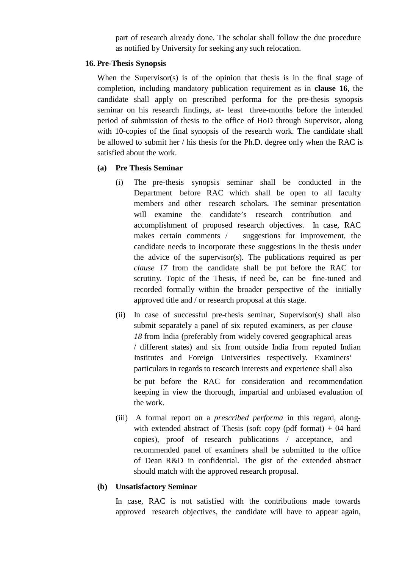part of research already done. The scholar shall follow the due procedure as notified by University for seeking any such relocation.

### **16. Pre-Thesis Synopsis**

When the Supervisor(s) is of the opinion that thesis is in the final stage of completion, including mandatory publication requirement as in **clause 16**, the candidate shall apply on prescribed performa for the pre-thesis synopsis seminar on his research findings, at- least three-months before the intended period of submission of thesis to the office of HoD through Supervisor, along with 10-copies of the final synopsis of the research work. The candidate shall be allowed to submit her / his thesis for the Ph.D. degree only when the RAC is satisfied about the work.

### **(a) Pre Thesis Seminar**

- (i) The pre-thesis synopsis seminar shall be conducted in the Department before RAC which shall be open to all faculty members and other research scholars. The seminar presentation will examine the candidate's research contribution and accomplishment of proposed research objectives. In case, RAC makes certain comments / suggestions for improvement, the candidate needs to incorporate these suggestions in the thesis under the advice of the supervisor(s). The publications required as per *clause 17* from the candidate shall be put before the RAC for scrutiny. Topic of the Thesis, if need be, can be fine-tuned and recorded formally within the broader perspective of the initially approved title and / or research proposal at this stage.
- (ii) In case of successful pre-thesis seminar, Supervisor(s) shall also submit separately a panel of six reputed examiners, as per *clause 18* from India (preferably from widely covered geographical areas / different states) and six from outside India from reputed Indian Institutes and Foreign Universities respectively. Examiners' particulars in regards to research interests and experience shall also be put before the RAC for consideration and recommendation keeping in view the thorough, impartial and unbiased evaluation of the work.
- (iii) A formal report on a *prescribed performa* in this regard, along with extended abstract of Thesis (soft copy (pdf format)  $+ 04$  hard copies), proof of research publications / acceptance, and recommended panel of examiners shall be submitted to the office of Dean R&D in confidential. The gist of the extended abstract should match with the approved research proposal.

### **(b) Unsatisfactory Seminar**

In case, RAC is not satisfied with the contributions made towards approved research objectives, the candidate will have to appear again,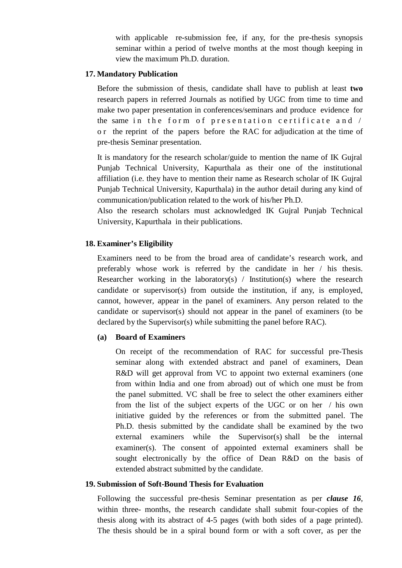with applicable re-submission fee, if any, for the pre-thesis synopsis seminar within a period of twelve months at the most though keeping in view the maximum Ph.D. duration.

### **17. Mandatory Publication**

Before the submission of thesis, candidate shall have to publish at least **two** research papers in referred Journals as notified by UGC from time to time and make two paper presentation in conferences/seminars and produce evidence for Mandatory Publication<br>Before the submission of thesis, candidate shall have to publish at least two<br>research papers in referred Journals as notified by UGC from time to time and<br>make two paper presentation in conferences/s Before the submission of thesis, candidate shall have to publish at least **two** research papers in referred Journals as notified by UGC from time to time and make two paper presentation in conferences/seminars and produce pre-thesis Seminar presentation.

It is mandatory for the research scholar/guide to mention the name of IK Gujral Punjab Technical University, Kapurthala as their one of the institutional affiliation (i.e. they have to mention their name as Research scholar of IK Gujral Punjab Technical University, Kapurthala) in the author detail during any kind of communication/publication related to the work of his/her Ph.D.

Also the research scholars must acknowledged IK Gujral Punjab Technical University, Kapurthala in their publications.

#### **18. Examiner's Eligibility**

Examiners need to be from the broad area of candidate's research work, and preferably whose work is referred by the candidate in her / his thesis. Researcher working in the laboratory(s) / Institution(s) where the research candidate or supervisor(s) from outside the institution, if any, is employed, cannot, however, appear in the panel of examiners. Any person related to the candidate or supervisor(s) should not appear in the panel of examiners (to be declared by the Supervisor(s) while submitting the panel before RAC).

#### **(a) Board of Examiners**

On receipt of the recommendation of RAC for successful pre-Thesis seminar along with extended abstract and panel of examiners, Dean R&D will get approval from VC to appoint two external examiners (one from within India and one from abroad) out of which one must be from the panel submitted. VC shall be free to select the other examiners either from the list of the subject experts of the UGC or on her / his own initiative guided by the references or from the submitted panel. The Ph.D. thesis submitted by the candidate shall be examined by the two external examiners while the Supervisor(s) shall be the internal examiner(s). The consent of appointed external examiners shall be sought electronically by the office of Dean R&D on the basis of extended abstract submitted by the candidate.

### **19. Submission of Soft-Bound Thesis for Evaluation**

Following the successful pre-thesis Seminar presentation as per *clause 16*, within three- months, the research candidate shall submit four-copies of the thesis along with its abstract of 4-5 pages (with both sides of a page printed). The thesis should be in a spiral bound form or with a soft cover, as per the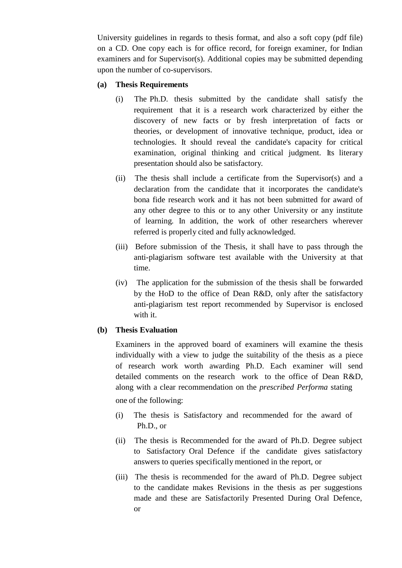University guidelines in regards to thesis format, and also a soft copy (pdf file) on a CD. One copy each is for office record, for foreign examiner, for Indian examiners and for Supervisor(s). Additional copies may be submitted depending upon the number of co-supervisors.

### **(a) Thesis Requirements**

- (i) The Ph.D. thesis submitted by the candidate shall satisfy the requirement that it is a research work characterized by either the discovery of new facts or by fresh interpretation of facts or theories, or development of innovative technique, product, idea or technologies. It should reveal the candidate's capacity for critical examination, original thinking and critical judgment. Its literary presentation should also be satisfactory.
- (ii) The thesis shall include a certificate from the Supervisor(s) and a declaration from the candidate that it incorporates the candidate's bona fide research work and it has not been submitted for award of any other degree to this or to any other University or any institute of learning. In addition, the work of other researchers wherever referred is properly cited and fully acknowledged.
- (iii) Before submission of the Thesis, it shall have to pass through the anti-plagiarism software test available with the University at that time.
- (iv) The application for the submission of the thesis shall be forwarded by the HoD to the office of Dean R&D, only after the satisfactory anti-plagiarism test report recommended by Supervisor is enclosed with it.

# **(b) Thesis Evaluation**

Examiners in the approved board of examiners will examine the thesis individually with a view to judge the suitability of the thesis as a piece of research work worth awarding Ph.D. Each examiner will send detailed comments on the research work to the office of Dean R&D, along with a clear recommendation on the *prescribed Performa* stating one of the following:

- (i) The thesis is Satisfactory and recommended for the award of Ph.D., or
- (ii) The thesis is Recommended for the award of Ph.D. Degree subject to Satisfactory Oral Defence if the candidate gives satisfactory answers to queries specifically mentioned in the report, or
- (iii) The thesis is recommended for the award of Ph.D. Degree subject to the candidate makes Revisions in the thesis as per suggestions made and these are Satisfactorily Presented During Oral Defence, or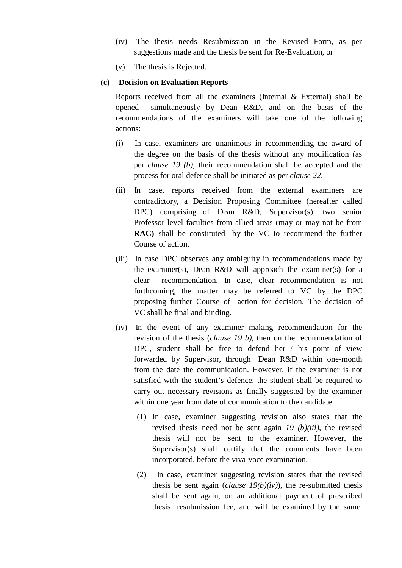- (iv) The thesis needs Resubmission in the Revised Form, as per suggestions made and the thesis be sent for Re-Evaluation, or
- (v) The thesis is Rejected.

## **(c) Decision on Evaluation Reports**

Reports received from all the examiners (Internal & External) shall be opened simultaneously by Dean R&D, and on the basis of the recommendations of the examiners will take one of the following actions:

- (i) In case, examiners are unanimous in recommending the award of the degree on the basis of the thesis without any modification (as per *clause* 19 (b), their recommendation shall be accepted and the process for oral defence shall be initiated as per *clause 22*.
- (ii) In case, reports received from the external examiners are contradictory, a Decision Proposing Committee (hereafter called DPC) comprising of Dean R&D, Supervisor(s), two senior Professor level faculties from allied areas (may or may not be from **RAC)** shall be constituted by the VC to recommend the further Course of action.
- (iii) In case DPC observes any ambiguity in recommendations made by the examiner(s), Dean R&D will approach the examiner(s) for a clear recommendation. In case, clear recommendation is not forthcoming, the matter may be referred to VC by the DPC proposing further Course of action for decision. The decision of VC shall be final and binding.
- (iv) In the event of any examiner making recommendation for the revision of the thesis (*clause 19 b*), then on the recommendation of DPC, student shall be free to defend her / his point of view forwarded by Supervisor, through Dean R&D within one-month from the date the communication. However, if the examiner is not satisfied with the student's defence, the student shall be required to carry out necessary revisions as finally suggested by the examiner within one year from date of communication to the candidate.
	- (1) In case, examiner suggesting revision also states that the revised thesis need not be sent again *19 (b)(iii)*, the revised thesis will not be sent to the examiner. However, the Supervisor(s) shall certify that the comments have been incorporated, before the viva-voce examination.
	- (2) In case, examiner suggesting revision states that the revised thesis be sent again (*clause 19(b)(iv)*), the re-submitted thesis shall be sent again, on an additional payment of prescribed thesis resubmission fee, and will be examined by the same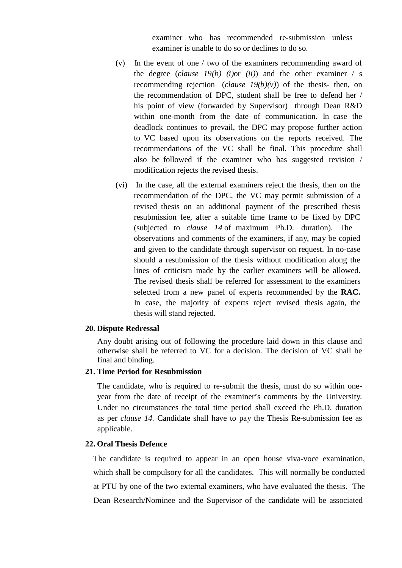examiner who has recommended re-submission unless examiner is unable to do so or declines to do so.

- (v) In the event of one / two of the examiners recommending award of the degree  $(clause 19(b) (i)$   $(i)$  or  $(ii)$  and the other examiner / s recommending rejection (*clause 19(b)(v)*) of the thesis- then, on the recommendation of DPC, student shall be free to defend her / his point of view (forwarded by Supervisor) through Dean R&D within one-month from the date of communication. In case the deadlock continues to prevail, the DPC may propose further action to VC based upon its observations on the reports received. The recommendations of the VC shall be final. This procedure shall also be followed if the examiner who has suggested revision / modification rejects the revised thesis.
- (vi) In the case, all the external examiners reject the thesis, then on the recommendation of the DPC, the VC may permit submission of a revised thesis on an additional payment of the prescribed thesis resubmission fee, after a suitable time frame to be fixed by DPC (subjected to *clause 14* of maximum Ph.D. duration). The observations and comments of the examiners, if any, may be copied and given to the candidate through supervisor on request. In no-case should a resubmission of the thesis without modification along the lines of criticism made by the earlier examiners will be allowed. The revised thesis shall be referred for assessment to the examiners selected from a new panel of experts recommended by the **RAC.** In case, the majority of experts reject revised thesis again, the thesis will stand rejected.

#### **20. Dispute Redressal**

Any doubt arising out of following the procedure laid down in this clause and otherwise shall be referred to VC for a decision. The decision of VC shall be final and binding.

#### **21. Time Period for Resubmission**

The candidate, who is required to re-submit the thesis, must do so within one year from the date of receipt of the examiner's comments by the University. Under no circumstances the total time period shall exceed the Ph.D. duration as per *clause 14.* Candidate shall have to pay the Thesis Re-submission fee as applicable.

### **22. Oral Thesis Defence**

The candidate is required to appear in an open house viva-voce examination, which shall be compulsory for all the candidates. This will normally be conducted at PTU by one of the two external examiners, who have evaluated the thesis. The Dean Research/Nominee and the Supervisor of the candidate will be associated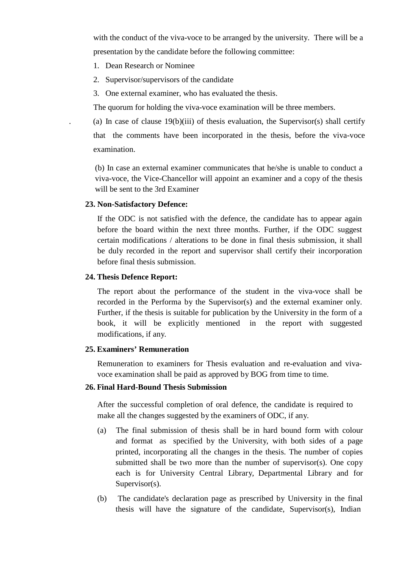with the conduct of the viva-voce to be arranged by the university. There will be a presentation by the candidate before the following committee:

- 1. Dean Research or Nominee
- 2. Supervisor/supervisors of the candidate
- 3. One external examiner, who has evaluated the thesis.

The quorum for holding the viva-voce examination will be three members.

(a) In case of clause  $19(b)(iii)$  of thesis evaluation, the Supervisor(s) shall certify that the comments have been incorporated in the thesis, before the viva-voce examination.

(b) In case an external examiner communicates that he/she is unable to conduct a viva-voce, the Vice-Chancellor will appoint an examiner and a copy of the thesis will be sent to the 3rd Examiner

#### **23. Non-Satisfactory Defence:**

If the ODC is not satisfied with the defence, the candidate has to appear again before the board within the next three months. Further, if the ODC suggest certain modifications / alterations to be done in final thesis submission, it shall be duly recorded in the report and supervisor shall certify their incorporation before final thesis submission.

#### **24. Thesis Defence Report:**

The report about the performance of the student in the viva-voce shall be recorded in the Performa by the Supervisor(s) and the external examiner only. Further, if the thesis is suitable for publication by the University in the form of a book, it will be explicitly mentioned in the report with suggested modifications, if any.

### **25. Examiners' Remuneration**

Remuneration to examiners for Thesis evaluation and re-evaluation and viva voce examination shall be paid as approved by BOG from time to time.

### **26. Final Hard-Bound Thesis Submission**

After the successful completion of oral defence, the candidate is required to make all the changes suggested by the examiners of ODC, if any.

- (a) The final submission of thesis shall be in hard bound form with colour and format as specified by the University, with both sides of a page printed, incorporating all the changes in the thesis. The number of copies submitted shall be two more than the number of supervisor(s). One copy each is for University Central Library, Departmental Library and for Supervisor(s).
- (b) The candidate's declaration page as prescribed by University in the final thesis will have the signature of the candidate, Supervisor(s), Indian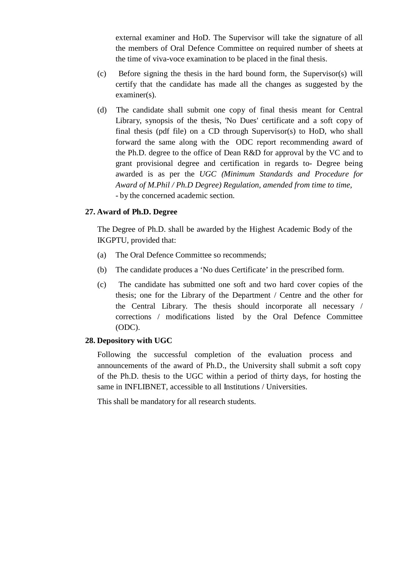external examiner and HoD. The Supervisor will take the signature of all the members of Oral Defence Committee on required number of sheets at the time of viva-voce examination to be placed in the final thesis.

- (c) Before signing the thesis in the hard bound form, the Supervisor(s) will certify that the candidate has made all the changes as suggested by the examiner(s).
- (d) The candidate shall submit one copy of final thesis meant for Central Library, synopsis of the thesis, 'No Dues' certificate and a soft copy of final thesis (pdf file) on a CD through Supervisor(s) to HoD, who shall forward the same along with the ODC report recommending award of the Ph.D. degree to the office of Dean R&D for approval by the VC and to grant provisional degree and certification in regards to- Degree being awarded is as per the *UGC (Minimum Standards and Procedure for Award of M.Phil / Ph.D Degree) Regulation, amended from time to time, -* by the concerned academic section.

### **27. Award of Ph.D. Degree**

The Degree of Ph.D. shall be awarded by the Highest Academic Body of the IKGPTU, provided that:

- (a) The Oral Defence Committee so recommends;
- (b) The candidate produces a 'No dues Certificate' in the prescribed form.
- (c) The candidate has submitted one soft and two hard cover copies of the thesis; one for the Library of the Department  $/$  Centre and the other for the Central Library. The thesis should incorporate all necessary / corrections / modifications listed by the Oral Defence Committee (ODC).

# **28. Depository with UGC**

Following the successful completion of the evaluation process and announcements of the award of Ph.D., the University shall submit a soft copy of the Ph.D. thesis to the UGC within a period of thirty days, for hosting the same in INFLIBNET, accessible to all Institutions / Universities.

This shall be mandatory for all research students.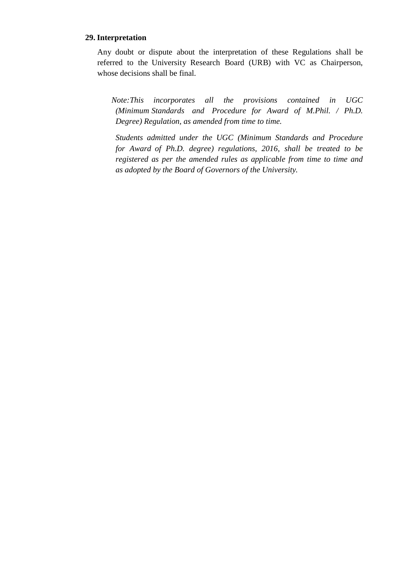### **29. Interpretation**

Any doubt or dispute about the interpretation of these Regulations shall be referred to the University Research Board (URB) with VC as Chairperson, whose decisions shall be final.

*Note:This incorporates all the provisions contained in UGC (Minimum Standards and Procedure for Award of M.Phil. / Ph.D. Degree) Regulation, as amended from time to time.*

*Students admitted under the UGC (Minimum Standards and Procedure for Award of Ph.D. degree) regulations, 2016, shall be treated to be registered as per the amended rules as applicable from time to time and as adopted by the Board of Governors of the University.*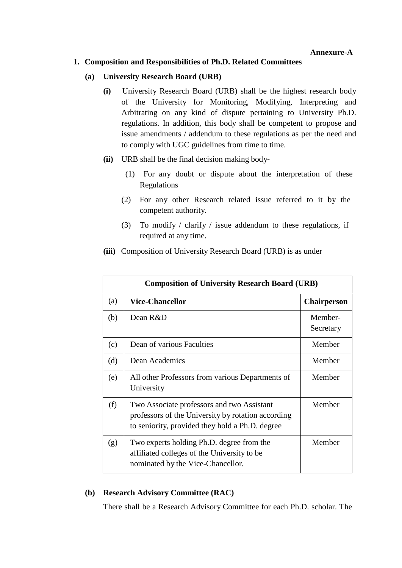## **1. Composition and Responsibilities of Ph.D. Related Committees**

### **(a) University Research Board (URB)**

- **(i)** University Research Board (URB) shall be the highest research body of the University for Monitoring, Modifying, Interpreting and Arbitrating on any kind of dispute pertaining to University Ph.D. regulations. In addition, this body shall be competent to propose and issue amendments / addendum to these regulations as per the need and to comply with UGC guidelines from time to time.
- **(ii)** URB shall be the final decision making body-
	- (1) For any doubt or dispute about the interpretation of these Regulations
	- (2) For any other Research related issue referred to it by the competent authority.
	- (3) To modify / clarify / issue addendum to these regulations, if required at any time.

|     | <b>Composition of University Research Board (URB)</b>                                                                                               |                      |  |  |  |
|-----|-----------------------------------------------------------------------------------------------------------------------------------------------------|----------------------|--|--|--|
| (a) | <b>Vice-Chancellor</b>                                                                                                                              | <b>Chairperson</b>   |  |  |  |
| (b) | Dean $R\&D$                                                                                                                                         | Member-<br>Secretary |  |  |  |
| (c) | Dean of various Faculties                                                                                                                           | Member               |  |  |  |
| (d) | Dean Academics                                                                                                                                      | Member               |  |  |  |
| (e) | All other Professors from various Departments of<br>University                                                                                      | Member               |  |  |  |
| (f) | Two Associate professors and two Assistant<br>professors of the University by rotation according<br>to seniority, provided they hold a Ph.D. degree | Member               |  |  |  |
| (g) | Two experts holding Ph.D. degree from the<br>affiliated colleges of the University to be<br>nominated by the Vice-Chancellor.                       | Member               |  |  |  |

**(iii)** Composition of University Research Board (URB) is as under

# **(b) Research Advisory Committee (RAC)**

There shall be a Research Advisory Committee for each Ph.D. scholar. The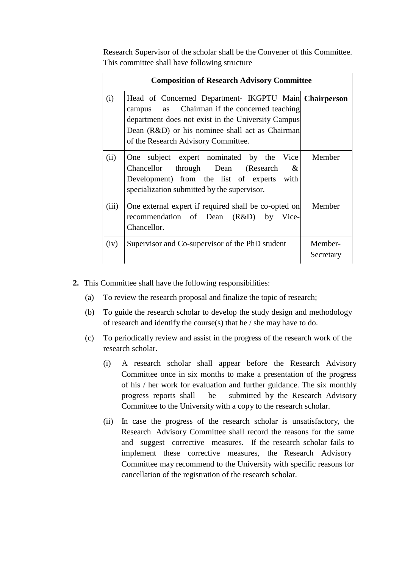Research Supervisor of the scholar shall be the Convener of this Committee. This committee shall have following structure

|       | <b>Composition of Research Advisory Committee</b>                                                                                                                                                                                                        |                      |  |  |  |  |
|-------|----------------------------------------------------------------------------------------------------------------------------------------------------------------------------------------------------------------------------------------------------------|----------------------|--|--|--|--|
| (i)   | Head of Concerned Department- IKGPTU Main Chairperson<br>as Chairman if the concerned teaching<br>campus<br>department does not exist in the University Campus<br>Dean (R&D) or his nominee shall act as Chairman<br>of the Research Advisory Committee. |                      |  |  |  |  |
| (ii)  | subject expert nominated by the Vice<br>One<br>Chancellor through Dean (Research<br>&<br>Development) from the list of experts with<br>specialization submitted by the supervisor.                                                                       | Member               |  |  |  |  |
| (iii) | One external expert if required shall be co-opted on<br>recommendation of Dean (R&D) by Vice-<br>Chancellor.                                                                                                                                             | Member               |  |  |  |  |
| (iv)  | Supervisor and Co-supervisor of the PhD student                                                                                                                                                                                                          | Member-<br>Secretary |  |  |  |  |

- **2.** This Committee shall have the following responsibilities:
	- (a) To review the research proposal and finalize the topic of research;
	- (b) To guide the research scholar to develop the study design and methodology of research and identify the course(s) that he / she may have to do.
	- (c) To periodically review and assist in the progress of the research work of the research scholar.
		- (i) A research scholar shall appear before the Research Advisory Committee once in six months to make a presentation of the progress of his / her work for evaluation and further guidance. The six monthly progress reports shall be submitted by the Research Advisory Committee to the University with a copy to the research scholar.
		- (ii) In case the progress of the research scholar is unsatisfactory, the Research Advisory Committee shall record the reasons for the same and suggest corrective measures. If the research scholar fails to implement these corrective measures, the Research Advisory Committee may recommend to the University with specific reasons for cancellation of the registration of the research scholar.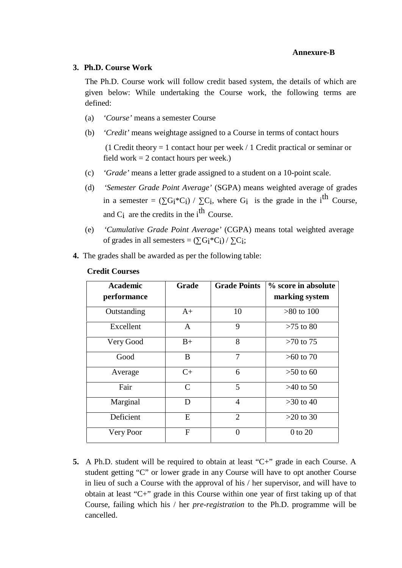### **Annexure-B**

#### **3. Ph.D. Course Work**

The Ph.D. Course work will follow credit based system, the details of which are given below: While undertaking the Course work, the following terms are defined:

- (a) *'Course'* means a semester Course
- (b) *'Credit'* means weightage assigned to a Course in terms of contact hours

(1 Credit theory = 1 contact hour per week / 1 Credit practical or seminar or field work  $= 2$  contact hours per week.)

- (c) *'Grade'* means a letter grade assigned to a student on a 10-point scale.
- (d) *'Semester Grade Point Average'* (SGPA) means weighted average of grades in a semester =  $(G_i * C_i) / C_i$ , where  $G_i$  is the grade in the i<sup>th</sup> Course, and  $C_i$  are the credits in the i<sup>th</sup> Course.
- (e) *'Cumulative Grade Point Average'* (CGPA) means total weighted average of grades in all semesters =  $(G_i^*C_i) / C_i$ ;
- **4.** The grades shall be awarded as per the following table:

| <b>Academic</b> | Grade         | <b>Grade Points</b> | % score in absolute |
|-----------------|---------------|---------------------|---------------------|
| performance     |               |                     | marking system      |
| Outstanding     | $A+$          | 10                  | $>80$ to 100        |
| Excellent       | A             | 9                   | $>75$ to 80         |
| Very Good       | $B+$          | 8                   | $>70$ to 75         |
| Good            | B             | 7                   | $>60$ to 70         |
| Average         | $C+$          | 6                   | $>50$ to 60         |
| Fair            | $\mathcal{C}$ | 5                   | $>40$ to 50         |
| Marginal        | D             | $\overline{4}$      | $>30$ to 40         |
| Deficient       | E             | $\overline{2}$      | $>20$ to 30         |
| Very Poor       | F             | $\theta$            | 0 to 20             |

#### **Credit Courses**

**5.** A Ph.D. student will be required to obtain at least "C+" grade in each Course. A student getting "C" or lower grade in any Course will have to opt another Course in lieu of such a Course with the approval of his / her supervisor, and will have to obtain at least " $C^+$ " grade in this Course within one year of first taking up of that Course, failing which his / her *pre-registration* to the Ph.D. programme will be cancelled.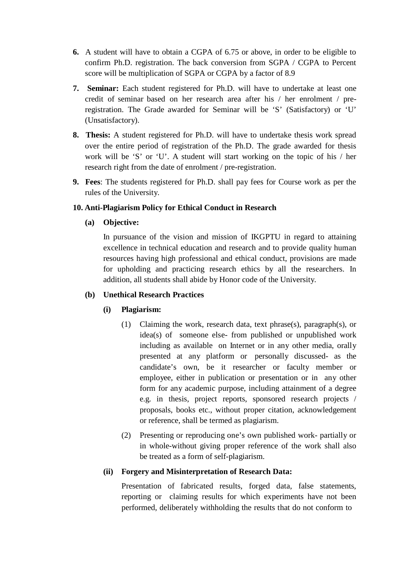- **6.** A student will have to obtain a CGPA of 6.75 or above, in order to be eligible to confirm Ph.D. registration. The back conversion from SGPA / CGPA to Percent score will be multiplication of SGPA or CGPA by a factor of 8.9
- **7. Seminar:** Each student registered for Ph.D. will have to undertake at least one credit of seminar based on her research area after his / her enrolment / preregistration. The Grade awarded for Seminar will be 'S' (Satisfactory) or 'U' (Unsatisfactory).
- **8. Thesis:** A student registered for Ph.D. will have to undertake thesis work spread over the entire period of registration of the Ph.D. The grade awarded for thesis work will be 'S' or 'U'. A student will start working on the topic of his / her research right from the date of enrolment / pre-registration.
- **9. Fees**: The students registered for Ph.D. shall pay fees for Course work as per the rules of the University.

# **10. Anti-Plagiarism Policy for Ethical Conduct in Research**

**(a) Objective:**

In pursuance of the vision and mission of IKGPTU in regard to attaining excellence in technical education and research and to provide quality human resources having high professional and ethical conduct, provisions are made for upholding and practicing research ethics by all the researchers. In addition, all students shall abide by Honor code of the University.

### **(b) Unethical Research Practices**

# **(i) Plagiarism:**

- (1) Claiming the work, research data, text phrase(s), paragraph(s), or idea(s) of someone else- from published or unpublished work including as available on Internet or in any other media, orally presented at any platform or personally discussed- as the candidate's own, be it researcher or faculty member or employee, either in publication or presentation or in any other form for any academic purpose, including attainment of a degree e.g. in thesis, project reports, sponsored research projects / proposals, books etc., without proper citation, acknowledgement or reference, shall be termed as plagiarism.
- (2) Presenting or reproducing one's own published work- partially or in whole-without giving proper reference of the work shall also be treated as a form of self-plagiarism.

# **(ii) Forgery and Misinterpretation of Research Data:**

Presentation of fabricated results, forged data, false statements, reporting or claiming results for which experiments have not been performed, deliberately withholding the results that do not conform to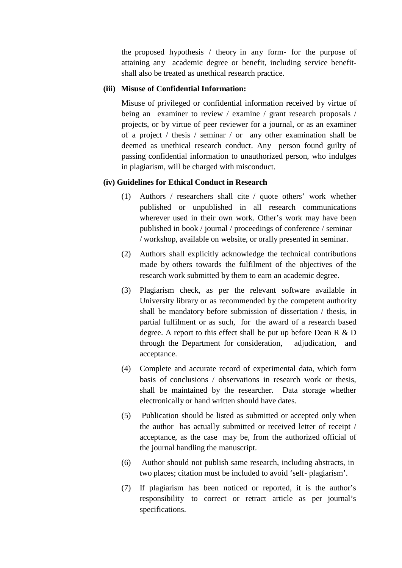the proposed hypothesis / theory in any form- for the purpose of attaining any academic degree or benefit, including service benefit shall also be treated as unethical research practice.

## **(iii) Misuse of Confidential Information:**

Misuse of privileged or confidential information received by virtue of being an examiner to review / examine / grant research proposals / projects, or by virtue of peer reviewer for a journal, or as an examiner of a project / thesis / seminar / or any other examination shall be deemed as unethical research conduct. Any person found guilty of passing confidential information to unauthorized person, who indulges in plagiarism, will be charged with misconduct.

### **(iv) Guidelines for Ethical Conduct in Research**

- (1) Authors / researchers shall cite / quote others' work whether published or unpublished in all research communications wherever used in their own work. Other's work may have been published in book / journal / proceedings of conference / seminar / workshop, available on website, or orally presented in seminar.
- (2) Authors shall explicitly acknowledge the technical contributions made by others towards the fulfilment of the objectives of the research work submitted by them to earn an academic degree.
- (3) Plagiarism check, as per the relevant software available in University library or as recommended by the competent authority shall be mandatory before submission of dissertation  $/$  thesis, in partial fulfilment or as such, for the award of a research based degree. A report to this effect shall be put up before Dean R & D through the Department for consideration, adjudication, and acceptance.
- (4) Complete and accurate record of experimental data, which form basis of conclusions / observations in research work or thesis, shall be maintained by the researcher. Data storage whether electronically or hand written should have dates.
- (5) Publication should be listed as submitted oraccepted only when the author has actually submitted or received letter of receipt / acceptance, as the case may be, from the authorized official of the journal handling the manuscript.
- (6) Author should not publish same research, including abstracts, in two places; citation must be included to avoid 'self- plagiarism'.
- (7) If plagiarism has been noticed or reported, it is the author's responsibility to correct or retract article as per journal's specifications.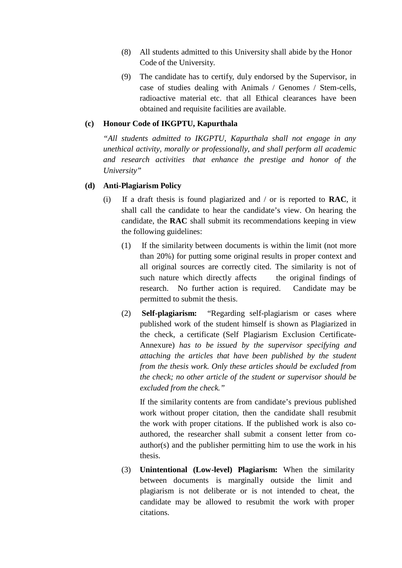- (8) All students admitted to this University shall abide by the Honor Code of the University.
- (9) The candidate has to certify, duly endorsed by the Supervisor, in case of studies dealing with Animals / Genomes / Stem-cells, radioactive material etc. that all Ethical clearances have been obtained and requisite facilities are available.

### **(c) Honour Code of IKGPTU, Kapurthala**

*"All students admitted to IKGPTU, Kapurthala shall not engage in any unethical activity, morally or professionally, and shall perform all academic and research activities that enhance the prestige and honor of the University"*

#### **(d) Anti-Plagiarism Policy**

- (i) If a draft thesis is found plagiarized and / or is reported to **RAC**, it shall call the candidate to hear the candidate's view. On hearing the candidate, the **RAC** shall submit its recommendations keeping in view the following guidelines:
	- (1) If the similarity between documents is within the limit (not more than 20%) for putting some original results in proper context and all original sources are correctly cited. The similarity is not of such nature which directly affects the original findings of research. No further action is required. Candidate may be permitted to submit the thesis.
	- (2) **Self-plagiarism:** "Regarding self-plagiarism or cases where published work of the student himself is shown as Plagiarized in the check, a certificate (Self Plagiarism Exclusion Certificate- Annexure) *has to be issued by the supervisor specifying and attaching the articles that have been published by the student from the thesis work. Only these articles should be excluded from the check; no other article of the student or supervisor should be excluded from the check."*

If the similarity contents are from candidate's previous published work without proper citation, then the candidate shall resubmit the work with proper citations. If the published work is also co authored, the researcher shall submit a consent letter from co author(s) and the publisher permitting him to use the work in his thesis.

(3) **Unintentional (Low-level) Plagiarism:** When the similarity between documents is marginally outside the limit and plagiarism is not deliberate or is not intended to cheat, the candidate may be allowed to resubmit the work with proper citations.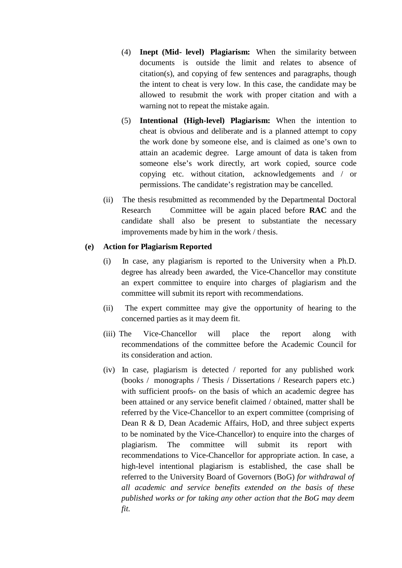- (4) **Inept (Mid- level) Plagiarism:** When the similarity between documents is outside the limit and relates to absence of citation(s), and copying of few sentences and paragraphs, though the intent to cheat is very low. In this case, the candidate may be allowed to resubmit the work with proper citation and with a warning not to repeat the mistake again.
- (5) **Intentional (High-level) Plagiarism:** When the intention to cheat is obvious and deliberate and is a planned attempt to copy the work done by someone else, and is claimed as one's own to attain an academic degree. Large amount of data is taken from someone else's work directly, art work copied, source code copying etc. without citation, acknowledgements and / or permissions. The candidate's registration may be cancelled.
- (ii) The thesis resubmitted as recommended by the Departmental Doctoral Research Committee will be again placed before **RAC** and the candidate shall also be present to substantiate the necessary improvements made by him in the work / thesis.

### **(e) Action for Plagiarism Reported**

- (i) In case, any plagiarism is reported to the University when a Ph.D. degree has already been awarded, the Vice-Chancellor may constitute an expert committee to enquire into charges of plagiarism and the committee will submit its report with recommendations.
- (ii) The expert committee may give the opportunity of hearing to the concerned parties as it may deem fit.
- (iii) The Vice-Chancellor will place the report along with recommendations of the committee before the Academic Council for its consideration and action.
- (iv) In case, plagiarism is detected / reported for any published work (books / monographs / Thesis / Dissertations / Research papers etc.) with sufficient proofs- on the basis of which an academic degree has been attained or any service benefit claimed / obtained, matter shall be referred by the Vice-Chancellor to an expert committee (comprising of Dean R & D, Dean Academic Affairs, HoD, and three subject experts to be nominated by the Vice-Chancellor) to enquire into the charges of plagiarism. The committee will submit its report with recommendations to Vice-Chancellor for appropriate action. In case, a high-level intentional plagiarism is established, the case shall be referred to the University Board of Governors (BoG) *for withdrawal of all academic and service benefits extended on the basis of these published works or for taking any other action that the BoG may deem fit.*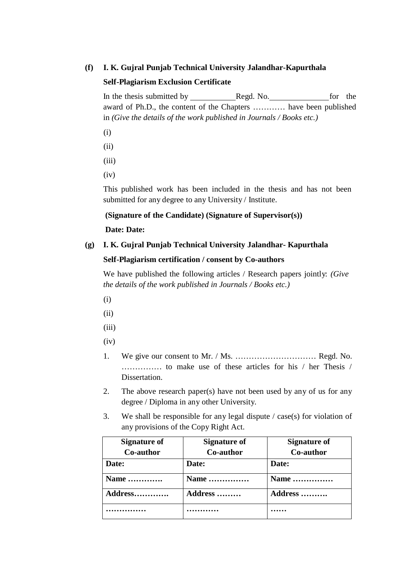## **(f) I. K. Gujral Punjab Technical University Jalandhar-Kapurthala**

### **Self-Plagiarism Exclusion Certificate**

In the thesis submitted by Regd. No. for the award of Ph.D., the content of the Chapters ............ have been published in *(Give the details of the work published in Journals / Books etc.)*

- (i)
- (ii)
- (iii)
- $(iv)$

This published work has been included in the thesis and has not been submitted for any degree to any University / Institute.

### **(Signature of the Candidate) (Signature of Supervisor(s))**

### **Date: Date:**

### **(g) I. K. Gujral Punjab Technical University Jalandhar- Kapurthala**

### **Self-Plagiarism certification / consent by Co-authors**

We have published the following articles / Research papers jointly: *(Give the details of the work published in Journals / Books etc.)*

- (i)
- (ii)
- (iii)
- $(iv)$
- 1. We give our consent to Mr./ Ms. ………………………… Regd. No. …………… to make use of these articles for his / her Thesis / Dissertation.
- 2. The above research paper(s) have not been used by any of us for any degree / Diploma in any other University.
- 3. We shall be responsible for any legal dispute / case(s) for violation of any provisions of the Copy Right Act.

| <b>Signature of</b> | <b>Signature of</b> | <b>Signature of</b> |
|---------------------|---------------------|---------------------|
| Co-author           | Co-author           | Co-author           |
| Date:               | Date:               | Date:               |
| Name                | Name                | Name                |
| Address             | Address             | Address             |
|                     |                     | .                   |